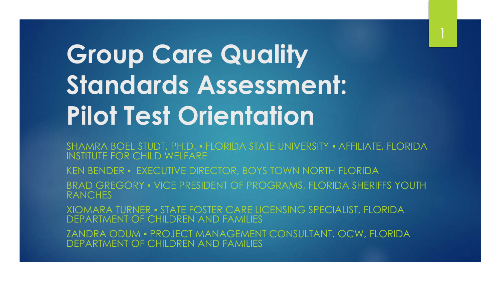# **Group Care Quality Standards Assessment: Pilot Test Orientation**

SHAMRA BOEL-STUDT, PH.D. • FLORIDA STATE UNIVERSITY • AFFILIATE, FLORIDA INSTITUTE FOR CHILD WELFARE

KEN BENDER ▪ EXECUTIVE DIRECTOR, BOYS TOWN NORTH FLORIDA

BRAD GREGORY • VICE PRESIDENT OF PROGRAMS, FLORIDA SHERIFFS YOUTH **RANCHES** 

XIOMARA TURNER ▪ STATE FOSTER CARE LICENSING SPECIALIST, FLORIDA DEPARTMENT OF CHILDREN AND FAMILIES

ZANDRA ODUM ▪ PROJECT MANAGEMENT CONSULTANT, OCW, FLORIDA DEPARTMENT OF CHILDREN AND FAMILIES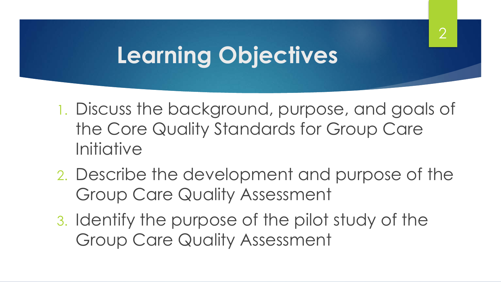## **Learning Objectives**

1. Discuss the background, purpose, and goals of the Core Quality Standards for Group Care **Initiative** 

2

- 2. Describe the development and purpose of the Group Care Quality Assessment
- 3. Identify the purpose of the pilot study of the Group Care Quality Assessment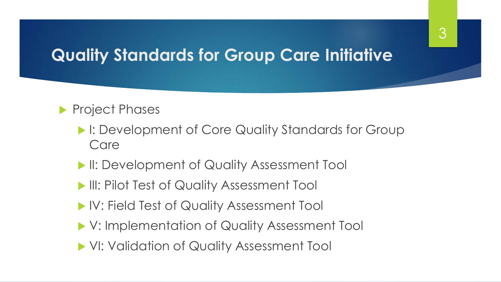### **Quality Standards for Group Care Initiative**

#### Project Phases

- **I: Development of Core Quality Standards for Group** Care
- **II: Development of Quality Assessment Tool**
- **III: Pilot Test of Quality Assessment Tool**
- IV: Field Test of Quality Assessment Tool
- V: Implementation of Quality Assessment Tool
- VI: Validation of Quality Assessment Tool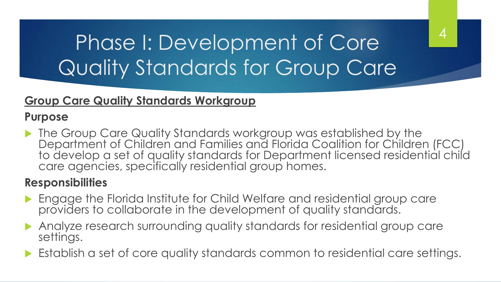## Phase I: Development of Core Quality Standards for Group Care

#### **Group Care Quality Standards Workgroup**

#### **Purpose**

**The Group Care Quality Standards workgroup was established by the** Department of Children and Families and Florida Coalition for Children (FCC) to develop a set of quality standards for Department licensed residential child care agencies, specifically residential group homes.

4

#### **Responsibilities**

- Engage the Florida Institute for Child Welfare and residential group care providers to collaborate in the development of quality standards.
- Analyze research surrounding quality standards for residential group care settings.
- Establish a set of core quality standards common to residential care settings.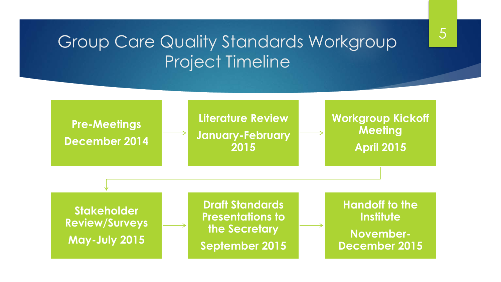### Group Care Quality Standards Workgroup Project Timeline

5

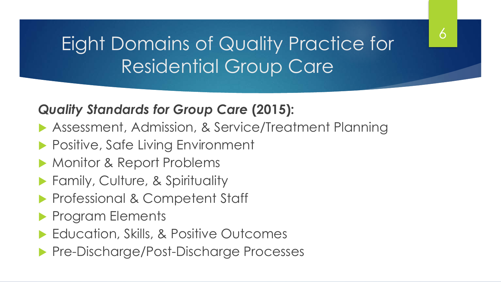## Eight Domains of Quality Practice for Residential Group Care

6

#### *Quality Standards for Group Care* **(2015):**

- Assessment, Admission, & Service/Treatment Planning
- **Positive, Safe Living Environment**
- Monitor & Report Problems
- **Family, Culture, & Spirituality**
- **Professional & Competent Staff**
- **Program Elements**
- ▶ Education, Skills, & Positive Outcomes
- **Pre-Discharge/Post-Discharge Processes**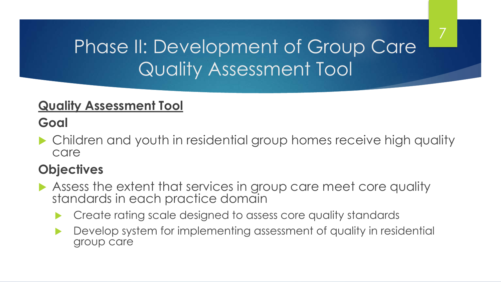## Phase II: Development of Group Care Quality Assessment Tool

7

#### **Quality Assessment Tool**

#### **Goal**

▶ Children and youth in residential group homes receive high quality care

### **Objectives**

- Assess the extent that services in group care meet core quality standards in each practice domain
	- Create rating scale designed to assess core quality standards
	- **Develop system for implementing assessment of quality in residential** group care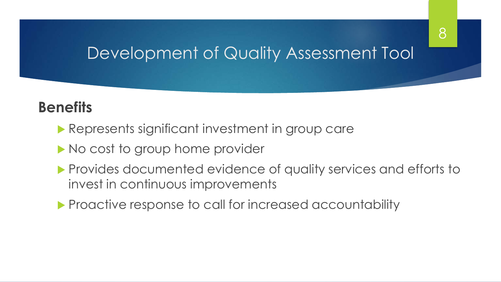8

### **Benefits**

- **Represents significant investment in group care**
- No cost to group home provider
- **Provides documented evidence of quality services and efforts to** invest in continuous improvements
- **Proactive response to call for increased accountability**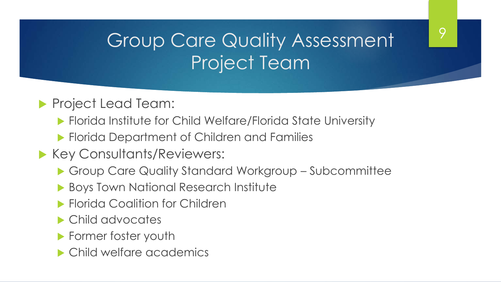## Group Care Quality Assessment Project Team

 $\overline{Q}$ 

#### **Project Lead Team:**

- Florida Institute for Child Welfare/Florida State University
- **Florida Department of Children and Families**
- **Key Consultants/Reviewers:** 
	- Group Care Quality Standard Workgroup Subcommittee
	- ▶ Boys Town National Research Institute
	- **Florida Coalition for Children**
	- ▶ Child advocates
	- **Former foster youth**
	- ▶ Child welfare academics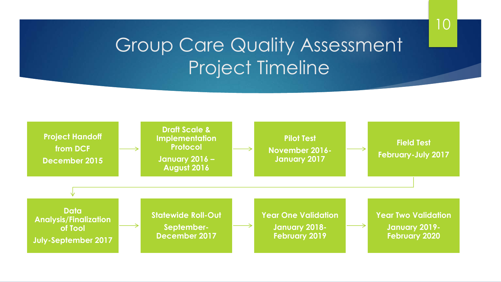### Group Care Quality Assessment Project Timeline

10

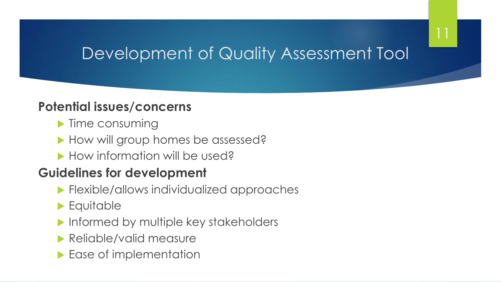11

#### **Potential issues/concerns**

- $\blacktriangleright$  Time consuming
- How will group homes be assessed?
- ▶ How information will be used?

#### **Guidelines for development**

- **Flexible/allows individualized approaches**
- Equitable
- **Informed by multiple key stakeholders**
- **Reliable/valid measure**
- Ease of implementation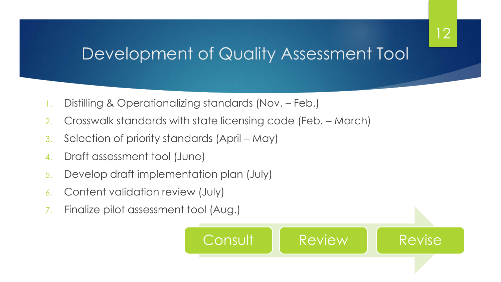- 1. Distilling & Operationalizing standards (Nov. Feb.)
- 2. Crosswalk standards with state licensing code (Feb. March)
- 3. Selection of priority standards (April May)
- 4. Draft assessment tool (June)
- 5. Develop draft implementation plan (July)
- 6. Content validation review (July)
- 7. Finalize pilot assessment tool (Aug.)



12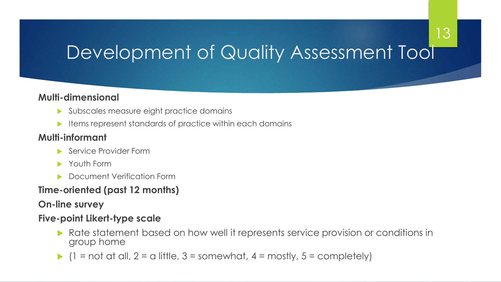13

#### **Multi-dimensional**

- Subscales measure eight practice domains
- $\blacktriangleright$  Items represent standards of practice within each domains

#### **Multi-informant**

- ▶ Service Provider Form
- **Youth Form**
- Document Verification Form

#### **Time-oriented (past 12 months)**

**On-line survey** 

#### **Five-point Likert-type scale**

- Rate statement based on how well it represents service provision or conditions in group home
- $(1 = not at all, 2 = a little, 3 = somewhat, 4 = mostly, 5 = completely)$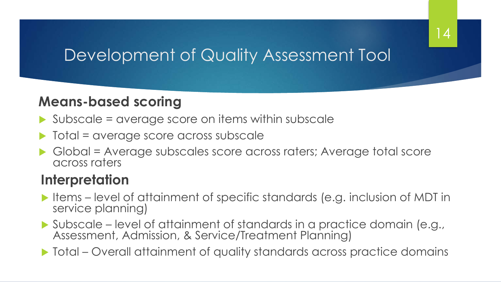14

#### **Means-based scoring**

- $\triangleright$  Subscale = average score on items within subscale
- Total = average score across subscale
- Global = Average subscales score across raters; Average total score across raters

#### **Interpretation**

- Items level of attainment of specific standards (e.g. inclusion of MDT in service planning)
- Subscale level of attainment of standards in a practice domain (e.g., Assessment, Admission, & Service/Treatment Planning)

Total – Overall attainment of quality standards across practice domains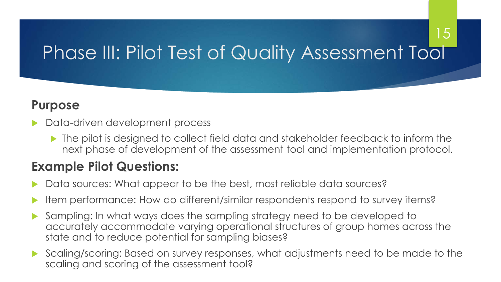## Phase III: Pilot Test of Quality Assessment Tool

15

#### **Purpose**

- Data-driven development process
	- The pilot is designed to collect field data and stakeholder feedback to inform the next phase of development of the assessment tool and implementation protocol.

#### **Example Pilot Questions:**

- Data sources: What appear to be the best, most reliable data sources?
- Item performance: How do different/similar respondents respond to survey items?
- Sampling: In what ways does the sampling strategy need to be developed to accurately accommodate varying operational structures of group homes across the state and to reduce potential for sampling biases?
- Scaling/scoring: Based on survey responses, what adjustments need to be made to the scaling and scoring of the assessment tool?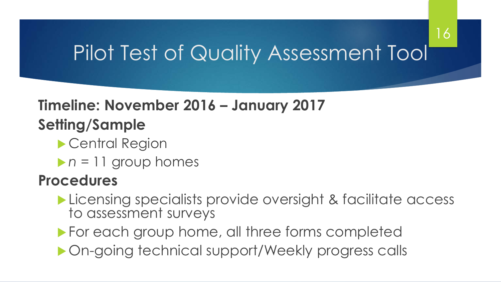## Pilot Test of Quality Assessment Tool

16

## **Timeline: November 2016 – January 2017**

### **Setting/Sample**

- Central Region
- *n* = 11 group homes

### **Procedures**

- **Licensing specialists provide oversight & facilitate access** to assessment surveys
- **For each group home, all three forms completed**
- ▶ On-going technical support/Weekly progress calls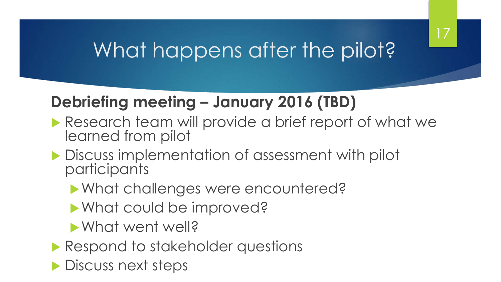### 17

## What happens after the pilot?

### **Debriefing meeting – January 2016 (TBD)**

- Research team will provide a brief report of what we learned from pilot
- **Discuss implementation of assessment with pilot** participants
	- What challenges were encountered?
	- What could be improved?
	- What went well?
- **Respond to stakeholder questions**
- **Discuss next steps**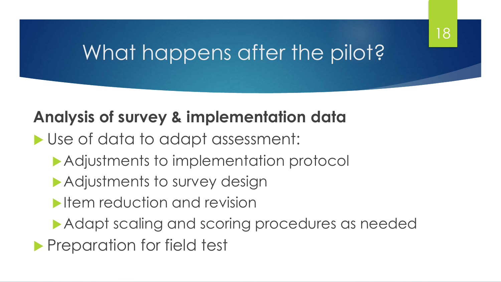## What happens after the pilot?

### **Analysis of survey & implementation data**

- Use of data to adapt assessment:
	- Adjustments to implementation protocol
	- Adjustments to survey design
	- **International revision**
	- Adapt scaling and scoring procedures as needed
- **Preparation for field test**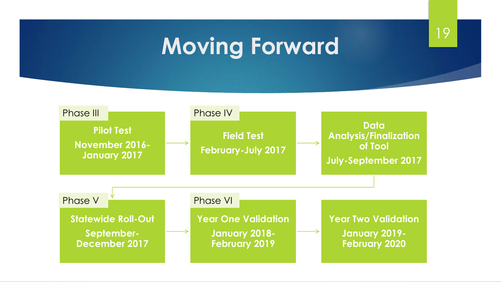# **Moving Forward** 19

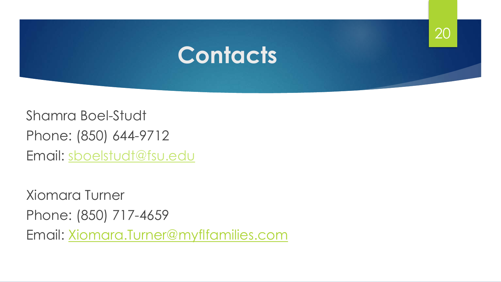

Shamra Boel-Studt Phone: (850) 644-9712 Email: [sboelstudt@fsu.edu](mailto:sboelstudt@fsu.edu)

Xiomara Turner Phone: (850) 717-4659 Email: Xiomara.Turner@myflfamilies.com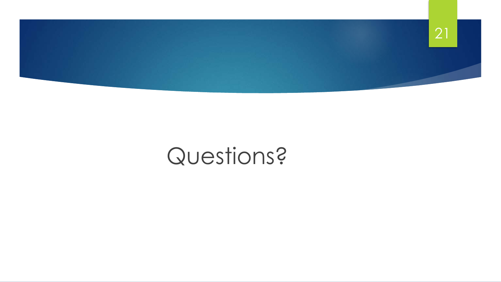

## Questions?